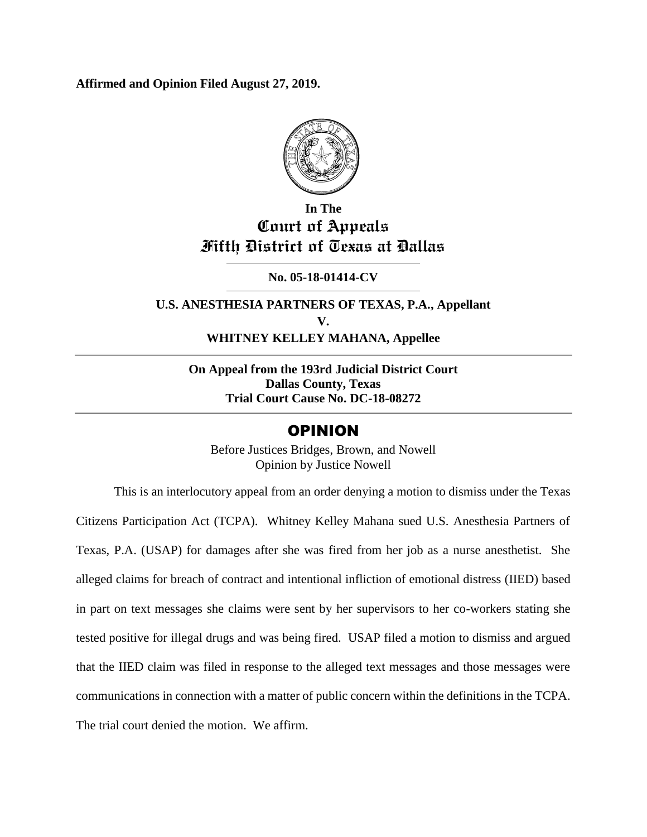**Affirmed and Opinion Filed August 27, 2019.**



## **In The Court of Appeals Fifth District of Texas at Dallas**

**No. 05-18-01414-CV**

**U.S. ANESTHESIA PARTNERS OF TEXAS, P.A., Appellant V. WHITNEY KELLEY MAHANA, Appellee**

**On Appeal from the 193rd Judicial District Court Dallas County, Texas Trial Court Cause No. DC-18-08272**

### OPINION

Before Justices Bridges, Brown, and Nowell Opinion by Justice Nowell

This is an interlocutory appeal from an order denying a motion to dismiss under the Texas Citizens Participation Act (TCPA). Whitney Kelley Mahana sued U.S. Anesthesia Partners of Texas, P.A. (USAP) for damages after she was fired from her job as a nurse anesthetist. She alleged claims for breach of contract and intentional infliction of emotional distress (IIED) based in part on text messages she claims were sent by her supervisors to her co-workers stating she tested positive for illegal drugs and was being fired. USAP filed a motion to dismiss and argued that the IIED claim was filed in response to the alleged text messages and those messages were communications in connection with a matter of public concern within the definitions in the TCPA. The trial court denied the motion. We affirm.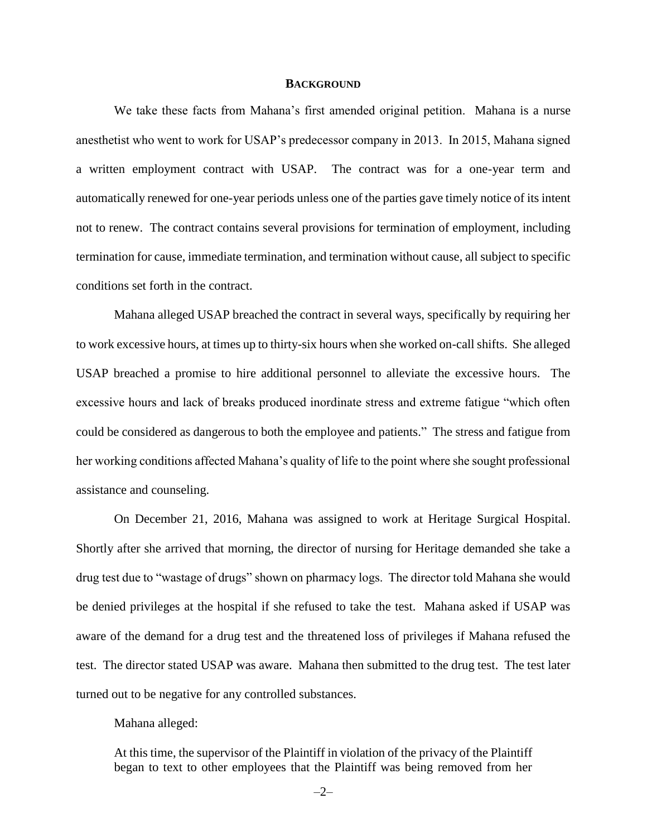### **BACKGROUND**

We take these facts from Mahana's first amended original petition. Mahana is a nurse anesthetist who went to work for USAP's predecessor company in 2013. In 2015, Mahana signed a written employment contract with USAP. The contract was for a one-year term and automatically renewed for one-year periods unless one of the parties gave timely notice of its intent not to renew. The contract contains several provisions for termination of employment, including termination for cause, immediate termination, and termination without cause, all subject to specific conditions set forth in the contract.

Mahana alleged USAP breached the contract in several ways, specifically by requiring her to work excessive hours, at times up to thirty-six hours when she worked on-callshifts. She alleged USAP breached a promise to hire additional personnel to alleviate the excessive hours. The excessive hours and lack of breaks produced inordinate stress and extreme fatigue "which often could be considered as dangerous to both the employee and patients." The stress and fatigue from her working conditions affected Mahana's quality of life to the point where she sought professional assistance and counseling.

On December 21, 2016, Mahana was assigned to work at Heritage Surgical Hospital. Shortly after she arrived that morning, the director of nursing for Heritage demanded she take a drug test due to "wastage of drugs" shown on pharmacy logs. The director told Mahana she would be denied privileges at the hospital if she refused to take the test. Mahana asked if USAP was aware of the demand for a drug test and the threatened loss of privileges if Mahana refused the test. The director stated USAP was aware. Mahana then submitted to the drug test. The test later turned out to be negative for any controlled substances.

### Mahana alleged:

At this time, the supervisor of the Plaintiff in violation of the privacy of the Plaintiff began to text to other employees that the Plaintiff was being removed from her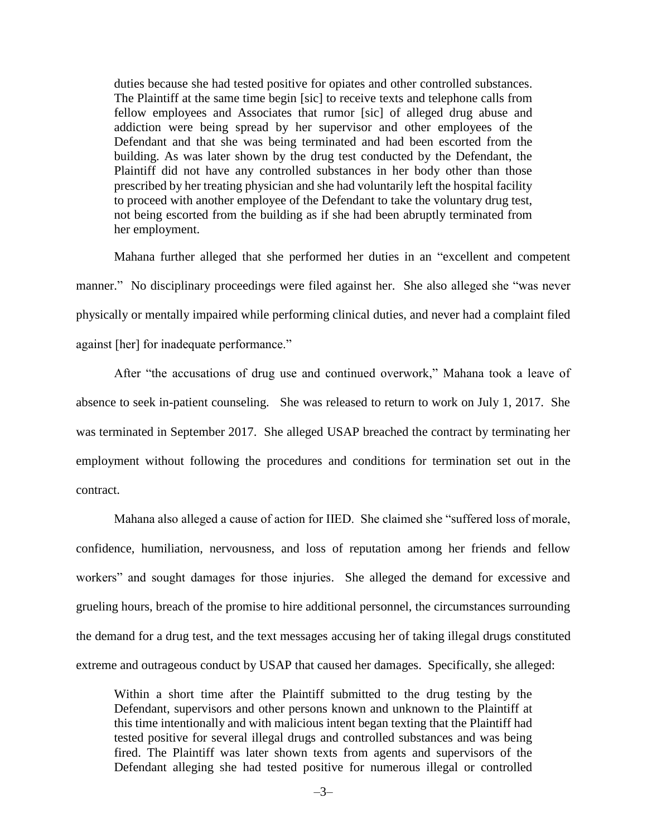duties because she had tested positive for opiates and other controlled substances. The Plaintiff at the same time begin [sic] to receive texts and telephone calls from fellow employees and Associates that rumor [sic] of alleged drug abuse and addiction were being spread by her supervisor and other employees of the Defendant and that she was being terminated and had been escorted from the building. As was later shown by the drug test conducted by the Defendant, the Plaintiff did not have any controlled substances in her body other than those prescribed by her treating physician and she had voluntarily left the hospital facility to proceed with another employee of the Defendant to take the voluntary drug test, not being escorted from the building as if she had been abruptly terminated from her employment.

Mahana further alleged that she performed her duties in an "excellent and competent manner." No disciplinary proceedings were filed against her. She also alleged she "was never physically or mentally impaired while performing clinical duties, and never had a complaint filed against [her] for inadequate performance."

After "the accusations of drug use and continued overwork," Mahana took a leave of absence to seek in-patient counseling. She was released to return to work on July 1, 2017. She was terminated in September 2017. She alleged USAP breached the contract by terminating her employment without following the procedures and conditions for termination set out in the contract.

Mahana also alleged a cause of action for IIED. She claimed she "suffered loss of morale, confidence, humiliation, nervousness, and loss of reputation among her friends and fellow workers" and sought damages for those injuries. She alleged the demand for excessive and grueling hours, breach of the promise to hire additional personnel, the circumstances surrounding the demand for a drug test, and the text messages accusing her of taking illegal drugs constituted extreme and outrageous conduct by USAP that caused her damages. Specifically, she alleged:

Within a short time after the Plaintiff submitted to the drug testing by the Defendant, supervisors and other persons known and unknown to the Plaintiff at this time intentionally and with malicious intent began texting that the Plaintiff had tested positive for several illegal drugs and controlled substances and was being fired. The Plaintiff was later shown texts from agents and supervisors of the Defendant alleging she had tested positive for numerous illegal or controlled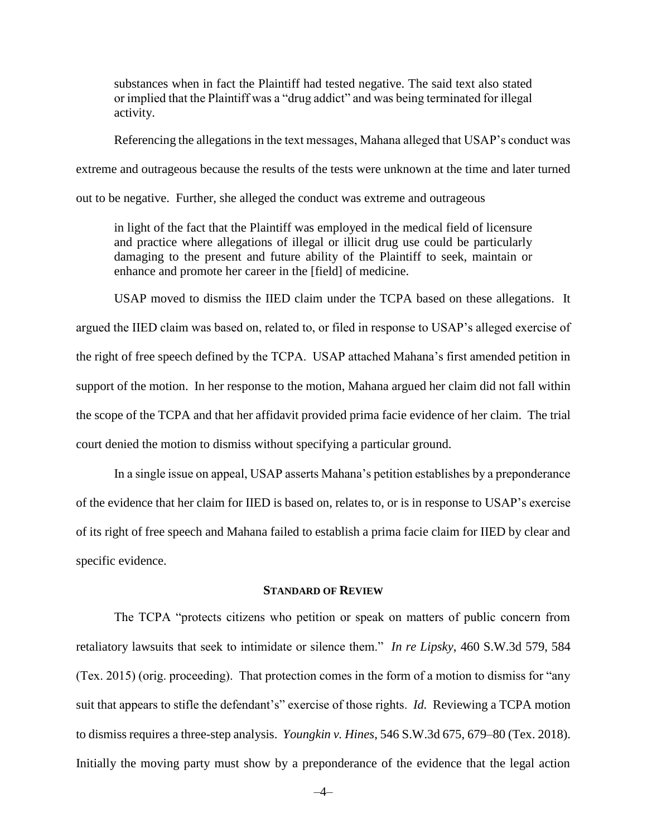substances when in fact the Plaintiff had tested negative. The said text also stated or implied that the Plaintiff was a "drug addict" and was being terminated for illegal activity.

Referencing the allegations in the text messages, Mahana alleged that USAP's conduct was extreme and outrageous because the results of the tests were unknown at the time and later turned out to be negative. Further, she alleged the conduct was extreme and outrageous

in light of the fact that the Plaintiff was employed in the medical field of licensure and practice where allegations of illegal or illicit drug use could be particularly damaging to the present and future ability of the Plaintiff to seek, maintain or enhance and promote her career in the [field] of medicine.

USAP moved to dismiss the IIED claim under the TCPA based on these allegations. It argued the IIED claim was based on, related to, or filed in response to USAP's alleged exercise of the right of free speech defined by the TCPA. USAP attached Mahana's first amended petition in support of the motion. In her response to the motion, Mahana argued her claim did not fall within the scope of the TCPA and that her affidavit provided prima facie evidence of her claim. The trial court denied the motion to dismiss without specifying a particular ground.

In a single issue on appeal, USAP asserts Mahana's petition establishes by a preponderance of the evidence that her claim for IIED is based on, relates to, or is in response to USAP's exercise of its right of free speech and Mahana failed to establish a prima facie claim for IIED by clear and specific evidence.

#### **STANDARD OF REVIEW**

The TCPA "protects citizens who petition or speak on matters of public concern from retaliatory lawsuits that seek to intimidate or silence them." *In re Lipsky*, 460 S.W.3d 579, 584 (Tex. 2015) (orig. proceeding). That protection comes in the form of a motion to dismiss for "any suit that appears to stifle the defendant's" exercise of those rights. *Id.* Reviewing a TCPA motion to dismiss requires a three-step analysis. *Youngkin v. Hines*, 546 S.W.3d 675, 679–80 (Tex. 2018). Initially the moving party must show by a preponderance of the evidence that the legal action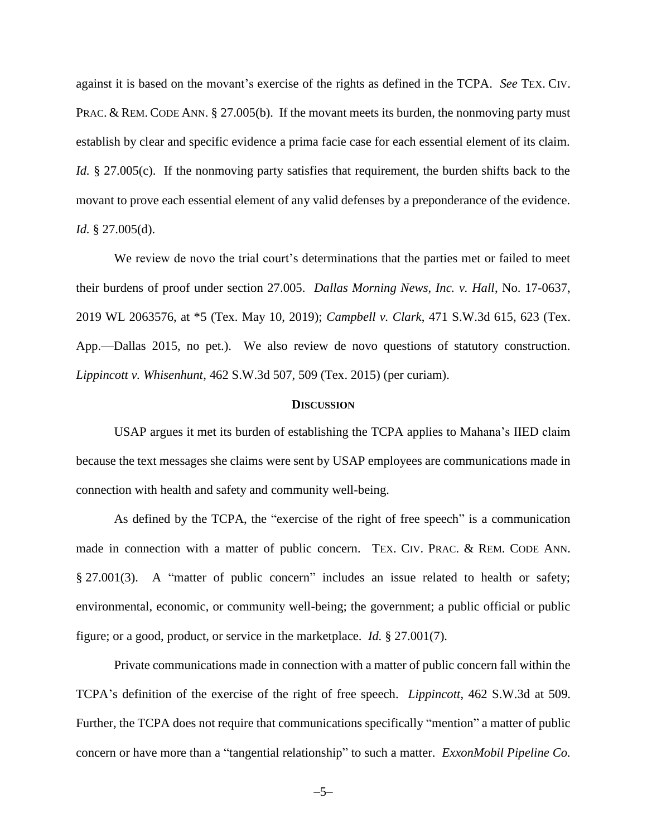against it is based on the movant's exercise of the rights as defined in the TCPA. *See* TEX. CIV. PRAC. & REM. CODE ANN. § 27.005(b). If the movant meets its burden, the nonmoving party must establish by clear and specific evidence a prima facie case for each essential element of its claim. *Id.* § 27.005(c). If the nonmoving party satisfies that requirement, the burden shifts back to the movant to prove each essential element of any valid defenses by a preponderance of the evidence. *Id.* § 27.005(d).

We review de novo the trial court's determinations that the parties met or failed to meet their burdens of proof under section 27.005. *Dallas Morning News, Inc. v. Hall*, No. 17-0637, 2019 WL 2063576, at \*5 (Tex. May 10, 2019); *Campbell v. Clark*, 471 S.W.3d 615, 623 (Tex. App.—Dallas 2015, no pet.). We also review de novo questions of statutory construction. *Lippincott v. Whisenhunt*, 462 S.W.3d 507, 509 (Tex. 2015) (per curiam).

### **DISCUSSION**

USAP argues it met its burden of establishing the TCPA applies to Mahana's IIED claim because the text messages she claims were sent by USAP employees are communications made in connection with health and safety and community well-being.

As defined by the TCPA, the "exercise of the right of free speech" is a communication made in connection with a matter of public concern. TEX. CIV. PRAC. & REM. CODE ANN. § 27.001(3). A "matter of public concern" includes an issue related to health or safety; environmental, economic, or community well-being; the government; a public official or public figure; or a good, product, or service in the marketplace. *Id.* § 27.001(7).

Private communications made in connection with a matter of public concern fall within the TCPA's definition of the exercise of the right of free speech. *Lippincott*, 462 S.W.3d at 509. Further, the TCPA does not require that communications specifically "mention" a matter of public concern or have more than a "tangential relationship" to such a matter. *ExxonMobil Pipeline Co.*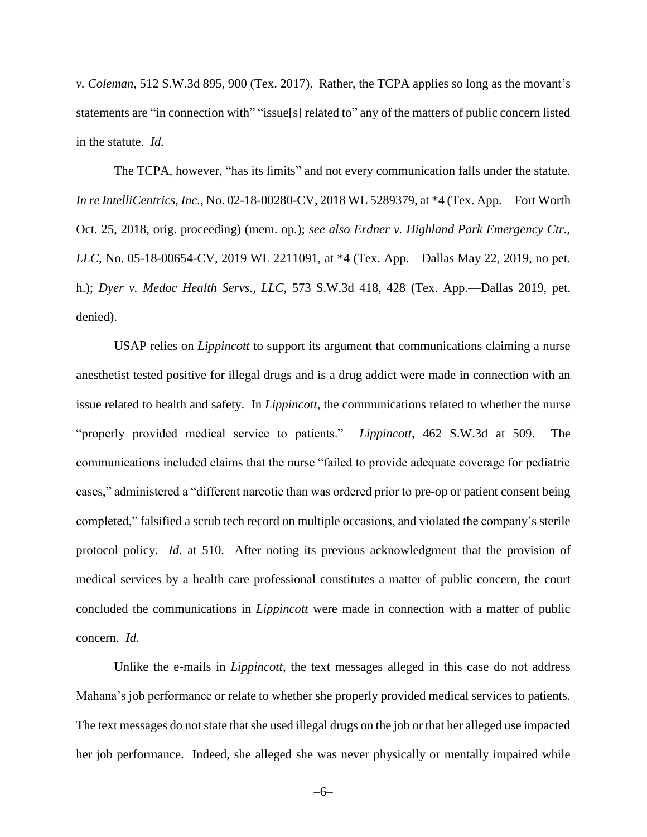*v. Coleman*, 512 S.W.3d 895, 900 (Tex. 2017). Rather, the TCPA applies so long as the movant's statements are "in connection with" "issue[s] related to" any of the matters of public concern listed in the statute. *Id.*

The TCPA, however, "has its limits" and not every communication falls under the statute. *In re IntelliCentrics, Inc.*, No. 02-18-00280-CV, 2018 WL 5289379, at \*4 (Tex. App.—Fort Worth Oct. 25, 2018, orig. proceeding) (mem. op.); *see also Erdner v. Highland Park Emergency Ctr., LLC*, No. 05-18-00654-CV, 2019 WL 2211091, at \*4 (Tex. App.—Dallas May 22, 2019, no pet. h.); *Dyer v. Medoc Health Servs., LLC*, 573 S.W.3d 418, 428 (Tex. App.—Dallas 2019, pet. denied).

USAP relies on *Lippincott* to support its argument that communications claiming a nurse anesthetist tested positive for illegal drugs and is a drug addict were made in connection with an issue related to health and safety. In *Lippincott*, the communications related to whether the nurse "properly provided medical service to patients." *Lippincott*, 462 S.W.3d at 509. The communications included claims that the nurse "failed to provide adequate coverage for pediatric cases," administered a "different narcotic than was ordered prior to pre-op or patient consent being completed," falsified a scrub tech record on multiple occasions, and violated the company's sterile protocol policy. *Id*. at 510. After noting its previous acknowledgment that the provision of medical services by a health care professional constitutes a matter of public concern, the court concluded the communications in *Lippincott* were made in connection with a matter of public concern. *Id*.

Unlike the e-mails in *Lippincott*, the text messages alleged in this case do not address Mahana's job performance or relate to whether she properly provided medical services to patients. The text messages do not state that she used illegal drugs on the job or that her alleged use impacted her job performance. Indeed, she alleged she was never physically or mentally impaired while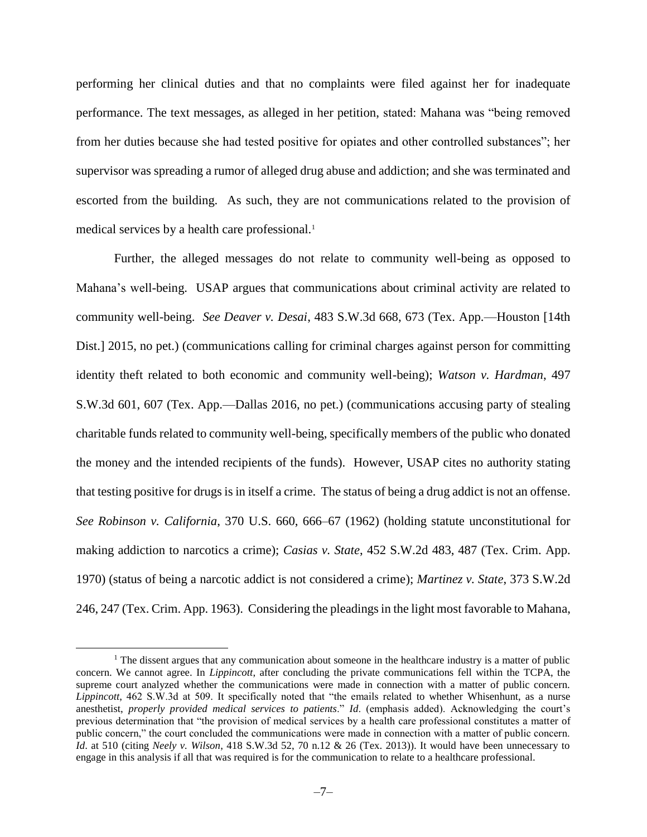performing her clinical duties and that no complaints were filed against her for inadequate performance. The text messages, as alleged in her petition, stated: Mahana was "being removed from her duties because she had tested positive for opiates and other controlled substances"; her supervisor was spreading a rumor of alleged drug abuse and addiction; and she was terminated and escorted from the building. As such, they are not communications related to the provision of medical services by a health care professional.<sup>1</sup>

Further, the alleged messages do not relate to community well-being as opposed to Mahana's well-being. USAP argues that communications about criminal activity are related to community well-being. *See Deaver v. Desai*, 483 S.W.3d 668, 673 (Tex. App.—Houston [14th Dist.] 2015, no pet.) (communications calling for criminal charges against person for committing identity theft related to both economic and community well-being); *Watson v. Hardman*, 497 S.W.3d 601, 607 (Tex. App.—Dallas 2016, no pet.) (communications accusing party of stealing charitable funds related to community well-being, specifically members of the public who donated the money and the intended recipients of the funds). However, USAP cites no authority stating that testing positive for drugs is in itself a crime. The status of being a drug addict is not an offense. *See Robinson v. California*, 370 U.S. 660, 666–67 (1962) (holding statute unconstitutional for making addiction to narcotics a crime); *Casias v. State*, 452 S.W.2d 483, 487 (Tex. Crim. App. 1970) (status of being a narcotic addict is not considered a crime); *Martinez v. State*, 373 S.W.2d 246, 247 (Tex. Crim. App. 1963). Considering the pleadings in the light most favorable to Mahana,

 $\overline{a}$ 

 $<sup>1</sup>$  The dissent argues that any communication about someone in the healthcare industry is a matter of public</sup> concern. We cannot agree. In *Lippincott*, after concluding the private communications fell within the TCPA, the supreme court analyzed whether the communications were made in connection with a matter of public concern. *Lippincott*, 462 S.W.3d at 509. It specifically noted that "the emails related to whether Whisenhunt, as a nurse anesthetist, *properly provided medical services to patients*." *Id*. (emphasis added). Acknowledging the court's previous determination that "the provision of medical services by a health care professional constitutes a matter of public concern," the court concluded the communications were made in connection with a matter of public concern. *Id*. at 510 (citing *Neely v. Wilson*, 418 S.W.3d 52, 70 n.12 & 26 (Tex. 2013)). It would have been unnecessary to engage in this analysis if all that was required is for the communication to relate to a healthcare professional.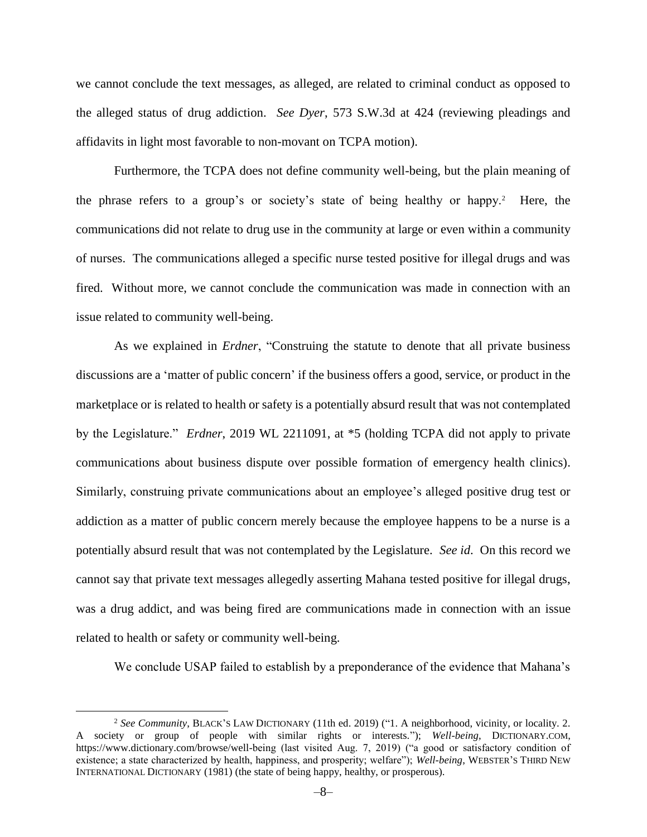we cannot conclude the text messages, as alleged, are related to criminal conduct as opposed to the alleged status of drug addiction. *See Dyer*, 573 S.W.3d at 424 (reviewing pleadings and affidavits in light most favorable to non-movant on TCPA motion).

Furthermore, the TCPA does not define community well-being, but the plain meaning of the phrase refers to a group's or society's state of being healthy or happy.<sup>2</sup> Here, the communications did not relate to drug use in the community at large or even within a community of nurses. The communications alleged a specific nurse tested positive for illegal drugs and was fired. Without more, we cannot conclude the communication was made in connection with an issue related to community well-being.

As we explained in *Erdner*, "Construing the statute to denote that all private business discussions are a 'matter of public concern' if the business offers a good, service, or product in the marketplace or is related to health or safety is a potentially absurd result that was not contemplated by the Legislature." *Erdner*, 2019 WL 2211091, at \*5 (holding TCPA did not apply to private communications about business dispute over possible formation of emergency health clinics). Similarly, construing private communications about an employee's alleged positive drug test or addiction as a matter of public concern merely because the employee happens to be a nurse is a potentially absurd result that was not contemplated by the Legislature. *See id*. On this record we cannot say that private text messages allegedly asserting Mahana tested positive for illegal drugs, was a drug addict, and was being fired are communications made in connection with an issue related to health or safety or community well-being.

We conclude USAP failed to establish by a preponderance of the evidence that Mahana's

 $\overline{a}$ 

<sup>2</sup> *See Community*, BLACK'S LAW DICTIONARY (11th ed. 2019) ("1. A neighborhood, vicinity, or locality. 2. A society or group of people with similar rights or interests."); *Well-being*, DICTIONARY.COM, https://www.dictionary.com/browse/well-being (last visited Aug. 7, 2019) ("a good or satisfactory condition of existence; a state characterized by health, happiness, and prosperity; welfare"); *Well-being*, WEBSTER'S THIRD NEW INTERNATIONAL DICTIONARY (1981) (the state of being happy, healthy, or prosperous).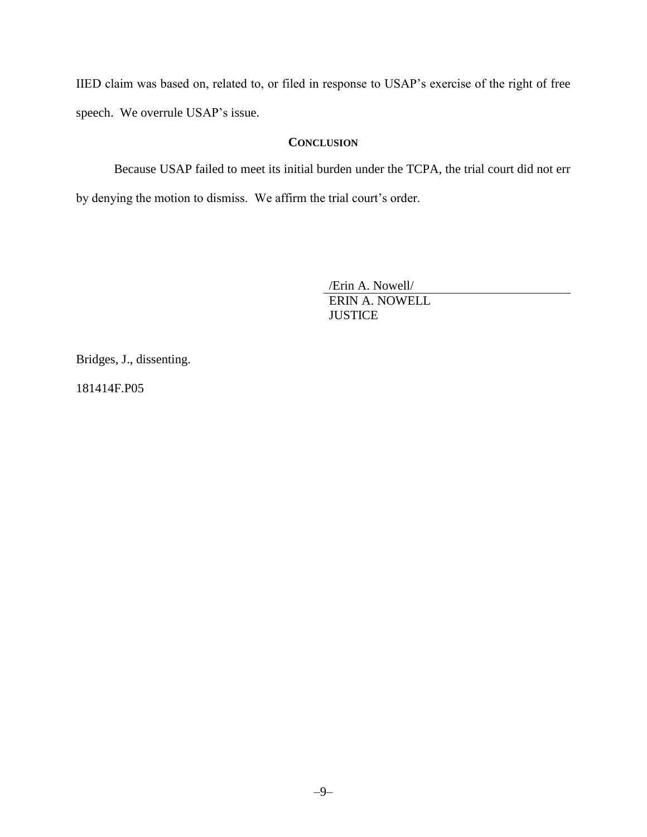IIED claim was based on, related to, or filed in response to USAP's exercise of the right of free speech. We overrule USAP's issue.

### **CONCLUSION**

Because USAP failed to meet its initial burden under the TCPA, the trial court did not err by denying the motion to dismiss. We affirm the trial court's order.

> /Erin A. Nowell/ ERIN A. NOWELL **JUSTICE**

Bridges, J., dissenting.

181414F.P05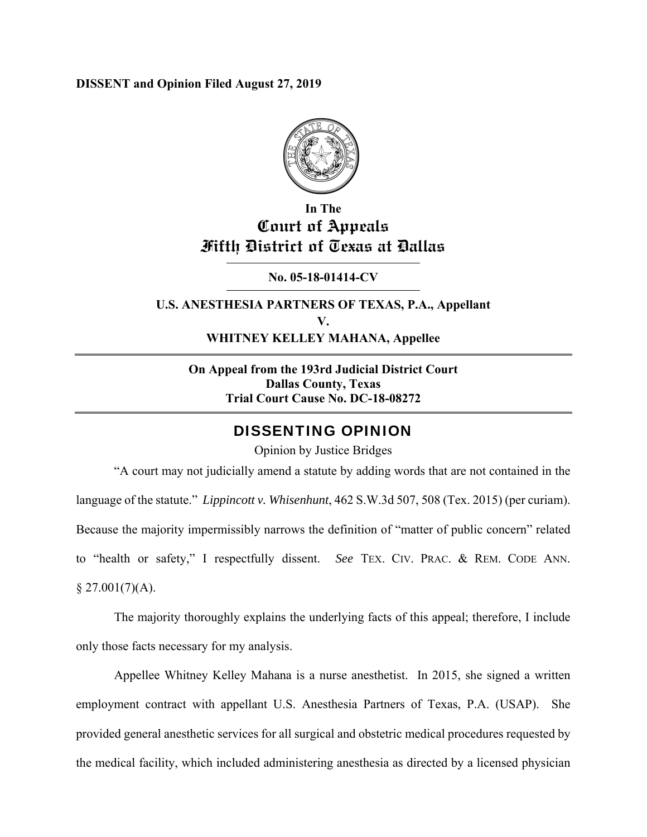### **DISSENT and Opinion Filed August 27, 2019**



## **In The Court of Appeals Fifth District of Texas at Dallas**

**No. 05-18-01414-CV** 

**U.S. ANESTHESIA PARTNERS OF TEXAS, P.A., Appellant V. WHITNEY KELLEY MAHANA, Appellee** 

**On Appeal from the 193rd Judicial District Court Dallas County, Texas Trial Court Cause No. DC-18-08272** 

### DISSENTING OPINION

Opinion by Justice Bridges

"A court may not judicially amend a statute by adding words that are not contained in the language of the statute." *Lippincott v. Whisenhunt*, 462 S.W.3d 507, 508 (Tex. 2015) (per curiam). Because the majority impermissibly narrows the definition of "matter of public concern" related to "health or safety," I respectfully dissent. *See* TEX. CIV. PRAC. & REM. CODE ANN.  $$27.001(7)(A).$ 

 The majority thoroughly explains the underlying facts of this appeal; therefore, I include only those facts necessary for my analysis.

Appellee Whitney Kelley Mahana is a nurse anesthetist. In 2015, she signed a written employment contract with appellant U.S. Anesthesia Partners of Texas, P.A. (USAP). She provided general anesthetic services for all surgical and obstetric medical procedures requested by the medical facility, which included administering anesthesia as directed by a licensed physician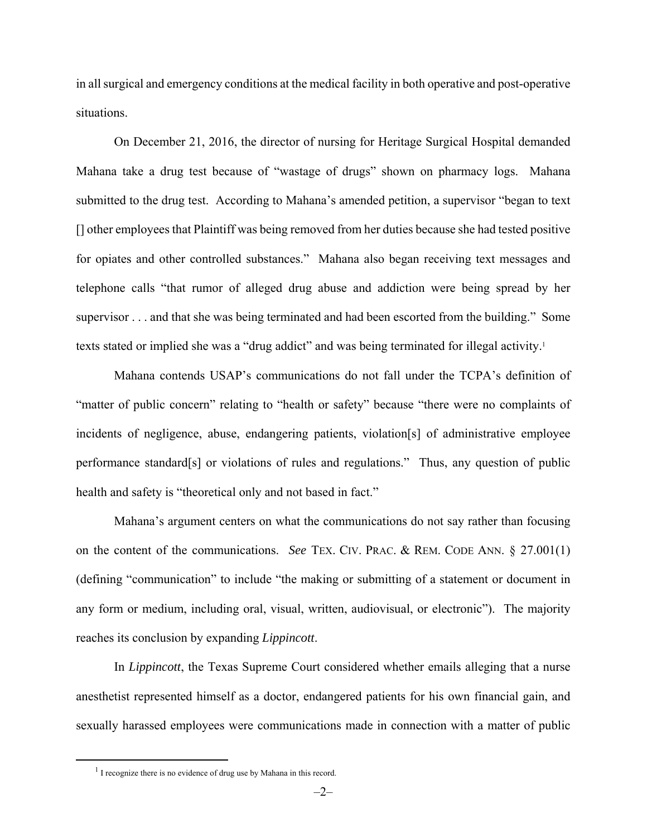in all surgical and emergency conditions at the medical facility in both operative and post-operative situations.

On December 21, 2016, the director of nursing for Heritage Surgical Hospital demanded Mahana take a drug test because of "wastage of drugs" shown on pharmacy logs. Mahana submitted to the drug test. According to Mahana's amended petition, a supervisor "began to text [] other employees that Plaintiff was being removed from her duties because she had tested positive for opiates and other controlled substances." Mahana also began receiving text messages and telephone calls "that rumor of alleged drug abuse and addiction were being spread by her supervisor . . . and that she was being terminated and had been escorted from the building." Some texts stated or implied she was a "drug addict" and was being terminated for illegal activity.<sup>1</sup>

Mahana contends USAP's communications do not fall under the TCPA's definition of "matter of public concern" relating to "health or safety" because "there were no complaints of incidents of negligence, abuse, endangering patients, violation[s] of administrative employee performance standard[s] or violations of rules and regulations." Thus, any question of public health and safety is "theoretical only and not based in fact."

Mahana's argument centers on what the communications do not say rather than focusing on the content of the communications. *See* TEX. CIV. PRAC. & REM. CODE ANN. § 27.001(1) (defining "communication" to include "the making or submitting of a statement or document in any form or medium, including oral, visual, written, audiovisual, or electronic"). The majority reaches its conclusion by expanding *Lippincott*.

In *Lippincott*, the Texas Supreme Court considered whether emails alleging that a nurse anesthetist represented himself as a doctor, endangered patients for his own financial gain, and sexually harassed employees were communications made in connection with a matter of public

 <sup>1</sup>  $<sup>1</sup>$  I recognize there is no evidence of drug use by Mahana in this record.</sup>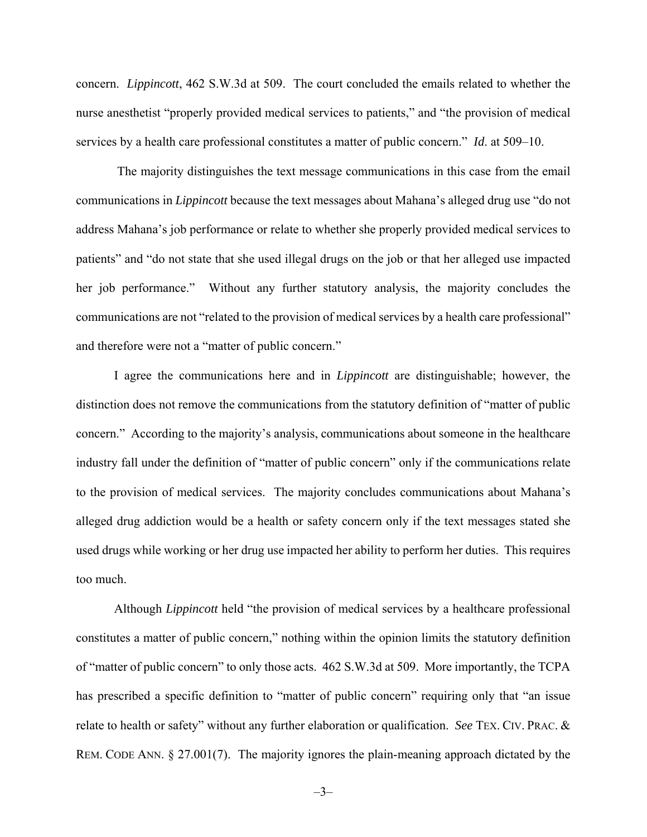concern. *Lippincott*, 462 S.W.3d at 509. The court concluded the emails related to whether the nurse anesthetist "properly provided medical services to patients," and "the provision of medical services by a health care professional constitutes a matter of public concern." *Id*. at 509–10.

 The majority distinguishes the text message communications in this case from the email communications in *Lippincott* because the text messages about Mahana's alleged drug use "do not address Mahana's job performance or relate to whether she properly provided medical services to patients" and "do not state that she used illegal drugs on the job or that her alleged use impacted her job performance." Without any further statutory analysis, the majority concludes the communications are not "related to the provision of medical services by a health care professional" and therefore were not a "matter of public concern."

 I agree the communications here and in *Lippincott* are distinguishable; however, the distinction does not remove the communications from the statutory definition of "matter of public concern." According to the majority's analysis, communications about someone in the healthcare industry fall under the definition of "matter of public concern" only if the communications relate to the provision of medical services. The majority concludes communications about Mahana's alleged drug addiction would be a health or safety concern only if the text messages stated she used drugs while working or her drug use impacted her ability to perform her duties. This requires too much.

 Although *Lippincott* held "the provision of medical services by a healthcare professional constitutes a matter of public concern," nothing within the opinion limits the statutory definition of "matter of public concern" to only those acts. 462 S.W.3d at 509. More importantly, the TCPA has prescribed a specific definition to "matter of public concern" requiring only that "an issue relate to health or safety" without any further elaboration or qualification. *See* TEX. CIV. PRAC. & REM. CODE ANN. § 27.001(7). The majority ignores the plain-meaning approach dictated by the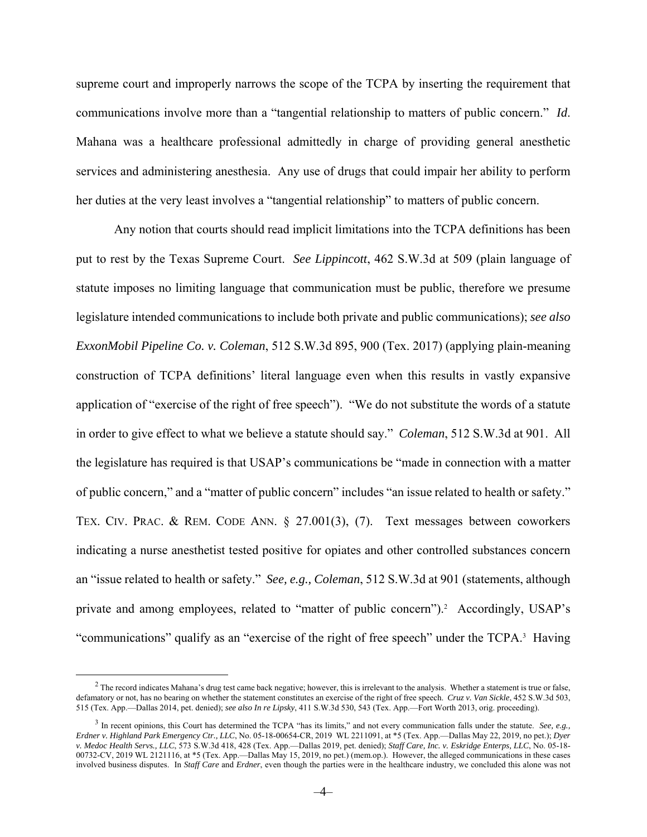supreme court and improperly narrows the scope of the TCPA by inserting the requirement that communications involve more than a "tangential relationship to matters of public concern." *Id*. Mahana was a healthcare professional admittedly in charge of providing general anesthetic services and administering anesthesia. Any use of drugs that could impair her ability to perform her duties at the very least involves a "tangential relationship" to matters of public concern.

Any notion that courts should read implicit limitations into the TCPA definitions has been put to rest by the Texas Supreme Court. *See Lippincott*, 462 S.W.3d at 509 (plain language of statute imposes no limiting language that communication must be public, therefore we presume legislature intended communications to include both private and public communications); *see also ExxonMobil Pipeline Co. v. Coleman*, 512 S.W.3d 895, 900 (Tex. 2017) (applying plain-meaning construction of TCPA definitions' literal language even when this results in vastly expansive application of "exercise of the right of free speech"). "We do not substitute the words of a statute in order to give effect to what we believe a statute should say." *Coleman*, 512 S.W.3d at 901. All the legislature has required is that USAP's communications be "made in connection with a matter of public concern," and a "matter of public concern" includes "an issue related to health or safety." TEX. CIV. PRAC. & REM. CODE ANN. § 27.001(3), (7). Text messages between coworkers indicating a nurse anesthetist tested positive for opiates and other controlled substances concern an "issue related to health or safety." *See, e.g., Coleman*, 512 S.W.3d at 901 (statements, although private and among employees, related to "matter of public concern").<sup>2</sup> Accordingly, USAP's "communications" qualify as an "exercise of the right of free speech" under the TCPA.<sup>3</sup> Having

 $\frac{1}{2}$  $<sup>2</sup>$  The record indicates Mahana's drug test came back negative; however, this is irrelevant to the analysis. Whether a statement is true or false,</sup> defamatory or not, has no bearing on whether the statement constitutes an exercise of the right of free speech. *Cruz v. Van Sickle*, 452 S.W.3d 503, 515 (Tex. App.—Dallas 2014, pet. denied); *see also In re Lipsky*, 411 S.W.3d 530, 543 (Tex. App.—Fort Worth 2013, orig. proceeding).

<sup>3</sup> In recent opinions, this Court has determined the TCPA "has its limits," and not every communication falls under the statute. *See, e.g., Erdner v. Highland Park Emergency Ctr., LLC*, No. 05-18-00654-CR, 2019 WL 2211091, at \*5 (Tex. App.—Dallas May 22, 2019, no pet.); *Dyer v. Medoc Health Servs., LLC*, 573 S.W.3d 418, 428 (Tex. App.—Dallas 2019, pet. denied); *Staff Care, Inc. v. Eskridge Enterps, LLC*, No. 05-18- 00732-CV, 2019 WL 2121116, at \*5 (Tex. App.—Dallas May 15, 2019, no pet.) (mem.op.). However, the alleged communications in these cases involved business disputes. In *Staff Care* and *Erdner*, even though the parties were in the healthcare industry, we concluded this alone was not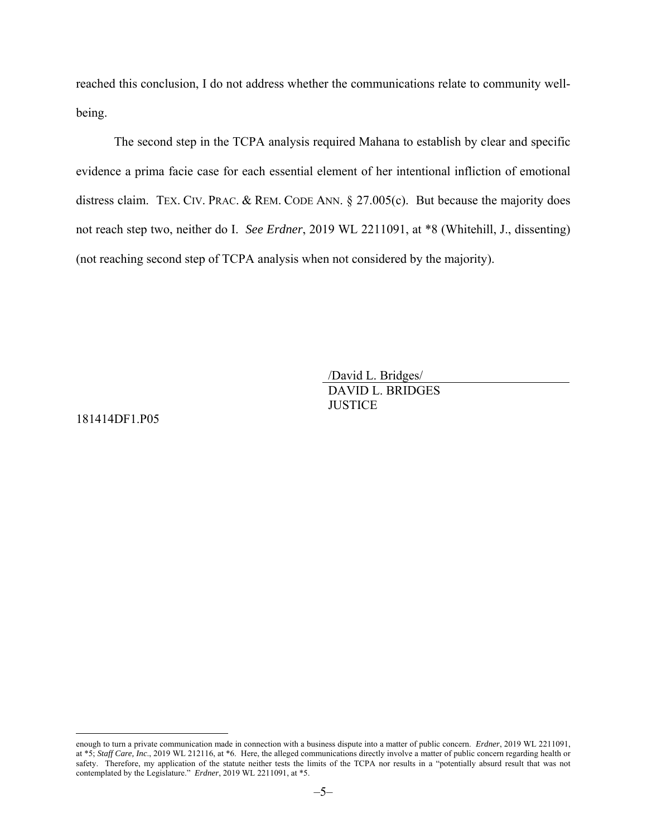reached this conclusion, I do not address whether the communications relate to community wellbeing.

The second step in the TCPA analysis required Mahana to establish by clear and specific evidence a prima facie case for each essential element of her intentional infliction of emotional distress claim. TEX. CIV. PRAC. & REM. CODE ANN. § 27.005(c). But because the majority does not reach step two, neither do I. *See Erdner*, 2019 WL 2211091, at \*8 (Whitehill, J., dissenting) (not reaching second step of TCPA analysis when not considered by the majority).

> /David L. Bridges/ DAVID L. BRIDGES **JUSTICE**

181414DF1.P05

 $\overline{a}$ 

enough to turn a private communication made in connection with a business dispute into a matter of public concern. *Erdner*, 2019 WL 2211091, at \*5; *Staff Care, Inc*., 2019 WL 212116, at \*6. Here, the alleged communications directly involve a matter of public concern regarding health or safety. Therefore, my application of the statute neither tests the limits of the TCPA nor results in a "potentially absurd result that was not contemplated by the Legislature." *Erdner*, 2019 WL 2211091, at \*5.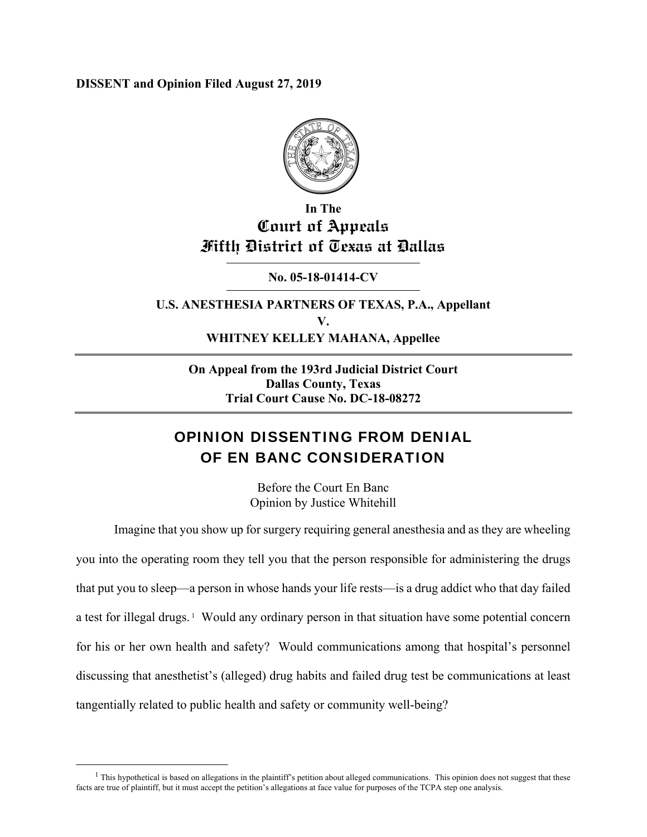**DISSENT and Opinion Filed August 27, 2019** 



## **In The Court of Appeals Fifth District of Texas at Dallas**

**No. 05-18-01414-CV** 

**U.S. ANESTHESIA PARTNERS OF TEXAS, P.A., Appellant V. WHITNEY KELLEY MAHANA, Appellee** 

**On Appeal from the 193rd Judicial District Court Dallas County, Texas Trial Court Cause No. DC-18-08272** 

# OPINION DISSENTING FROM DENIAL OF EN BANC CONSIDERATION

Before the Court En Banc Opinion by Justice Whitehill

Imagine that you show up for surgery requiring general anesthesia and as they are wheeling you into the operating room they tell you that the person responsible for administering the drugs that put you to sleep—a person in whose hands your life rests—is a drug addict who that day failed a test for illegal drugs.<sup>1</sup> Would any ordinary person in that situation have some potential concern for his or her own health and safety? Would communications among that hospital's personnel discussing that anesthetist's (alleged) drug habits and failed drug test be communications at least tangentially related to public health and safety or community well-being?

 <sup>1</sup>  $<sup>1</sup>$  This hypothetical is based on allegations in the plaintiff's petition about alleged communications. This opinion does not suggest that these</sup> facts are true of plaintiff, but it must accept the petition's allegations at face value for purposes of the TCPA step one analysis.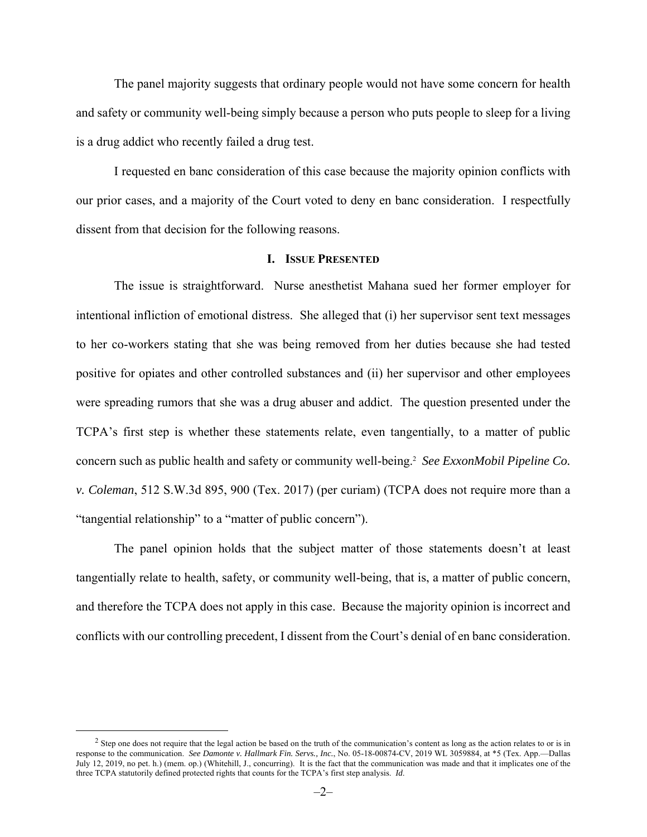The panel majority suggests that ordinary people would not have some concern for health and safety or community well-being simply because a person who puts people to sleep for a living is a drug addict who recently failed a drug test.

I requested en banc consideration of this case because the majority opinion conflicts with our prior cases, and a majority of the Court voted to deny en banc consideration. I respectfully dissent from that decision for the following reasons.

### **I. ISSUE PRESENTED**

The issue is straightforward. Nurse anesthetist Mahana sued her former employer for intentional infliction of emotional distress. She alleged that (i) her supervisor sent text messages to her co-workers stating that she was being removed from her duties because she had tested positive for opiates and other controlled substances and (ii) her supervisor and other employees were spreading rumors that she was a drug abuser and addict. The question presented under the TCPA's first step is whether these statements relate, even tangentially, to a matter of public concern such as public health and safety or community well-being.2 *See ExxonMobil Pipeline Co. v. Coleman*, 512 S.W.3d 895, 900 (Tex. 2017) (per curiam) (TCPA does not require more than a "tangential relationship" to a "matter of public concern").

The panel opinion holds that the subject matter of those statements doesn't at least tangentially relate to health, safety, or community well-being, that is, a matter of public concern, and therefore the TCPA does not apply in this case. Because the majority opinion is incorrect and conflicts with our controlling precedent, I dissent from the Court's denial of en banc consideration.

 $\overline{a}$  $<sup>2</sup>$  Step one does not require that the legal action be based on the truth of the communication's content as long as the action relates to or is in</sup> response to the communication. *See Damonte v. Hallmark Fin. Servs., Inc.*, No. 05-18-00874-CV, 2019 WL 3059884, at \*5 (Tex. App.—Dallas July 12, 2019, no pet. h.) (mem. op.) (Whitehill, J., concurring). It is the fact that the communication was made and that it implicates one of the three TCPA statutorily defined protected rights that counts for the TCPA's first step analysis. *Id*.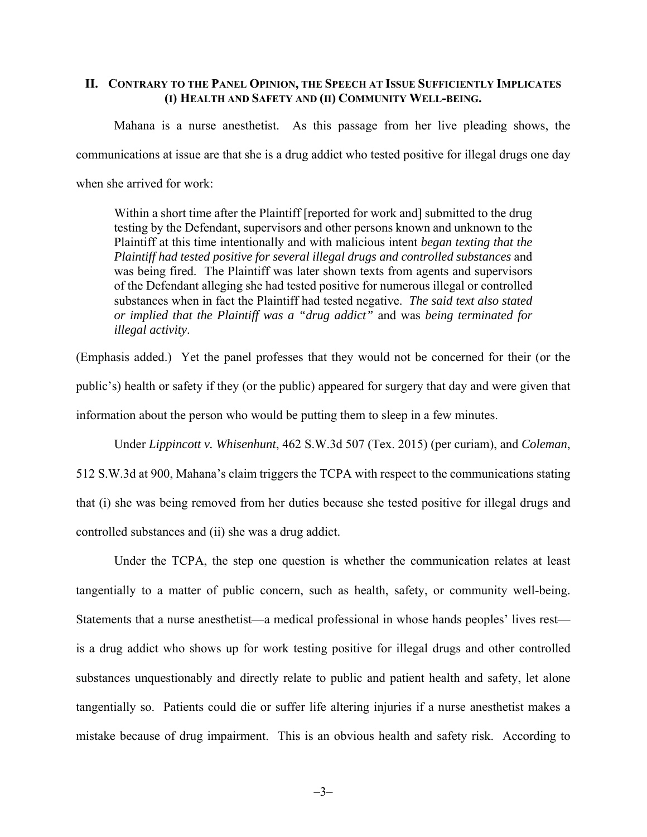### **II. CONTRARY TO THE PANEL OPINION, THE SPEECH AT ISSUE SUFFICIENTLY IMPLICATES (I) HEALTH AND SAFETY AND (II) COMMUNITY WELL-BEING.**

Mahana is a nurse anesthetist. As this passage from her live pleading shows, the communications at issue are that she is a drug addict who tested positive for illegal drugs one day when she arrived for work:

Within a short time after the Plaintiff [reported for work and] submitted to the drug testing by the Defendant, supervisors and other persons known and unknown to the Plaintiff at this time intentionally and with malicious intent *began texting that the Plaintiff had tested positive for several illegal drugs and controlled substances* and was being fired. The Plaintiff was later shown texts from agents and supervisors of the Defendant alleging she had tested positive for numerous illegal or controlled substances when in fact the Plaintiff had tested negative. *The said text also stated or implied that the Plaintiff was a "drug addict"* and was *being terminated for illegal activity*.

(Emphasis added.) Yet the panel professes that they would not be concerned for their (or the public's) health or safety if they (or the public) appeared for surgery that day and were given that information about the person who would be putting them to sleep in a few minutes.

Under *Lippincott v. Whisenhunt*, 462 S.W.3d 507 (Tex. 2015) (per curiam), and *Coleman*, 512 S.W.3d at 900, Mahana's claim triggers the TCPA with respect to the communications stating that (i) she was being removed from her duties because she tested positive for illegal drugs and controlled substances and (ii) she was a drug addict.

Under the TCPA, the step one question is whether the communication relates at least tangentially to a matter of public concern, such as health, safety, or community well-being. Statements that a nurse anesthetist—a medical professional in whose hands peoples' lives rest is a drug addict who shows up for work testing positive for illegal drugs and other controlled substances unquestionably and directly relate to public and patient health and safety, let alone tangentially so. Patients could die or suffer life altering injuries if a nurse anesthetist makes a mistake because of drug impairment. This is an obvious health and safety risk. According to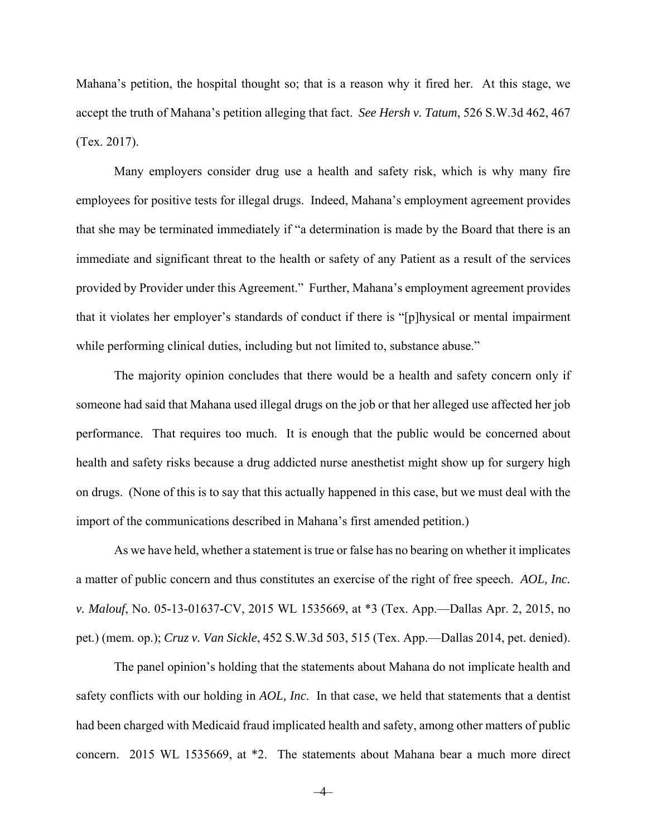Mahana's petition, the hospital thought so; that is a reason why it fired her. At this stage, we accept the truth of Mahana's petition alleging that fact. *See Hersh v. Tatum*, 526 S.W.3d 462, 467 (Tex. 2017).

Many employers consider drug use a health and safety risk, which is why many fire employees for positive tests for illegal drugs. Indeed, Mahana's employment agreement provides that she may be terminated immediately if "a determination is made by the Board that there is an immediate and significant threat to the health or safety of any Patient as a result of the services provided by Provider under this Agreement." Further, Mahana's employment agreement provides that it violates her employer's standards of conduct if there is "[p]hysical or mental impairment while performing clinical duties, including but not limited to, substance abuse."

The majority opinion concludes that there would be a health and safety concern only if someone had said that Mahana used illegal drugs on the job or that her alleged use affected her job performance. That requires too much. It is enough that the public would be concerned about health and safety risks because a drug addicted nurse anesthetist might show up for surgery high on drugs. (None of this is to say that this actually happened in this case, but we must deal with the import of the communications described in Mahana's first amended petition.)

As we have held, whether a statement is true or false has no bearing on whether it implicates a matter of public concern and thus constitutes an exercise of the right of free speech. *AOL, Inc. v. Malouf*, No. 05-13-01637-CV, 2015 WL 1535669, at \*3 (Tex. App.—Dallas Apr. 2, 2015, no pet.) (mem. op.); *Cruz v. Van Sickle*, 452 S.W.3d 503, 515 (Tex. App.—Dallas 2014, pet. denied).

The panel opinion's holding that the statements about Mahana do not implicate health and safety conflicts with our holding in *AOL, Inc*. In that case, we held that statements that a dentist had been charged with Medicaid fraud implicated health and safety, among other matters of public concern. 2015 WL 1535669, at \*2. The statements about Mahana bear a much more direct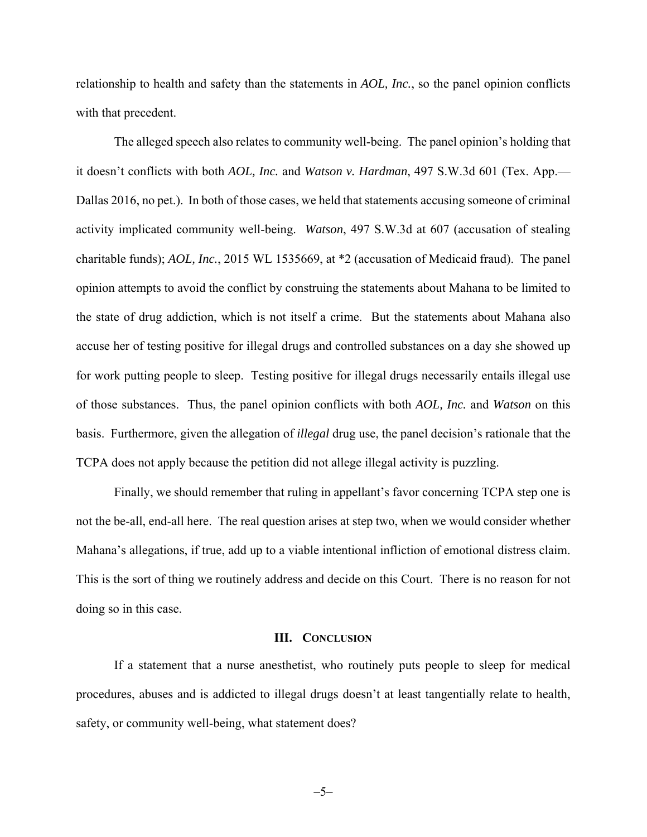relationship to health and safety than the statements in *AOL, Inc.*, so the panel opinion conflicts with that precedent.

The alleged speech also relates to community well-being. The panel opinion's holding that it doesn't conflicts with both *AOL, Inc.* and *Watson v. Hardman*, 497 S.W.3d 601 (Tex. App.— Dallas 2016, no pet.). In both of those cases, we held that statements accusing someone of criminal activity implicated community well-being. *Watson*, 497 S.W.3d at 607 (accusation of stealing charitable funds); *AOL, Inc.*, 2015 WL 1535669, at \*2 (accusation of Medicaid fraud). The panel opinion attempts to avoid the conflict by construing the statements about Mahana to be limited to the state of drug addiction, which is not itself a crime. But the statements about Mahana also accuse her of testing positive for illegal drugs and controlled substances on a day she showed up for work putting people to sleep. Testing positive for illegal drugs necessarily entails illegal use of those substances. Thus, the panel opinion conflicts with both *AOL, Inc.* and *Watson* on this basis. Furthermore, given the allegation of *illegal* drug use, the panel decision's rationale that the TCPA does not apply because the petition did not allege illegal activity is puzzling.

Finally, we should remember that ruling in appellant's favor concerning TCPA step one is not the be-all, end-all here. The real question arises at step two, when we would consider whether Mahana's allegations, if true, add up to a viable intentional infliction of emotional distress claim. This is the sort of thing we routinely address and decide on this Court. There is no reason for not doing so in this case.

#### **III. CONCLUSION**

If a statement that a nurse anesthetist, who routinely puts people to sleep for medical procedures, abuses and is addicted to illegal drugs doesn't at least tangentially relate to health, safety, or community well-being, what statement does?

–5–